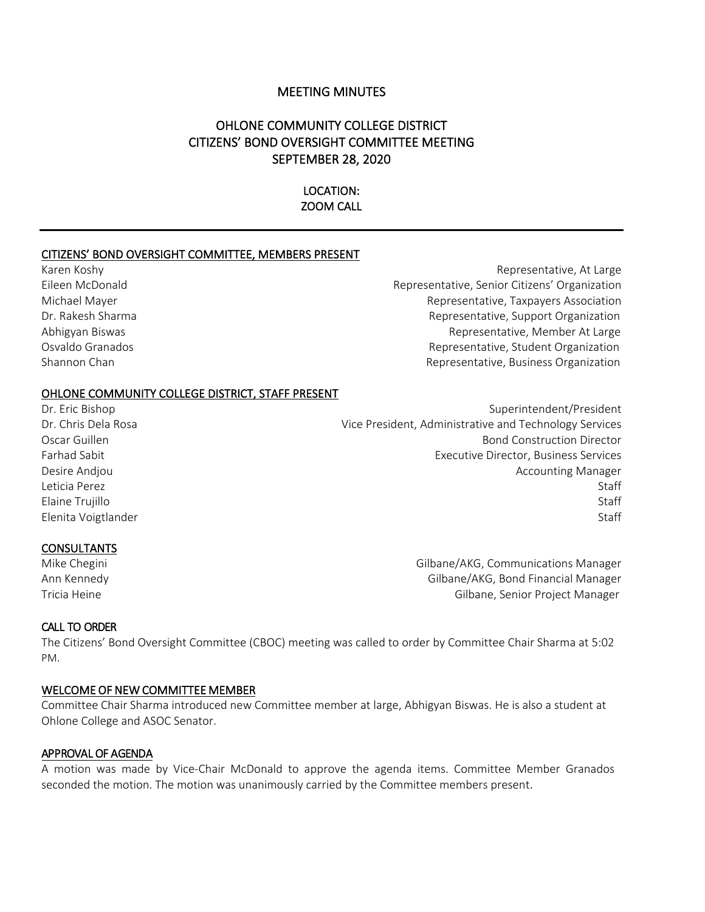## MEETING MINUTES

# OHLONE COMMUNITY COLLEGE DISTRICT CITIZENS' BOND OVERSIGHT COMMITTEE MEETING SEPTEMBER 28, 2020

#### LOCATION: ZOOM CALL

#### CITIZENS' BOND OVERSIGHT COMMITTEE, MEMBERS PRESENT

Karen Koshy **Representative, At Large** Eileen McDonald Representative, Senior Citizens' Organization Michael Mayer Representative, Taxpayers Association Dr. Rakesh Sharma **Representative, Support Organization** Abhigyan Biswas Representative, Member At Large Osvaldo Granados Representative, Student Organization Shannon Chan Representative, Business Organization Chan Representative, Business Organization

#### OHLONE COMMUNITY COLLEGE DISTRICT, STAFF PRESENT

Dr. Eric Bishop Superintendent/President Dr. Chris Dela Rosa **Vice President, Administrative and Technology Services** Oscar Guillen Bond Construction Director Farhad Sabit Executive Director, Business Services Desire Andjou **Accounting Manager** Desire Andjou Leticia Perez Staff States and Staff States and States and States and States and States and States and Staff St Elaine Trujillo Staff Elenita Voigtlander Staff

#### **CONSULTANTS**

Mike Chegini Gilbane/AKG, Communications Manager Ann Kennedy Gilbane/AKG, Bond Financial Manager Tricia Heine Gilbane, Senior Project Manager

#### CALL TO ORDER

The Citizens' Bond Oversight Committee (CBOC) meeting was called to order by Committee Chair Sharma at 5:02 PM.

#### WELCOME OF NEW COMMITTEE MEMBER

Committee Chair Sharma introduced new Committee member at large, Abhigyan Biswas. He is also a student at Ohlone College and ASOC Senator.

#### APPROVAL OF AGENDA

A motion was made by Vice-Chair McDonald to approve the agenda items. Committee Member Granados seconded the motion. The motion was unanimously carried by the Committee members present.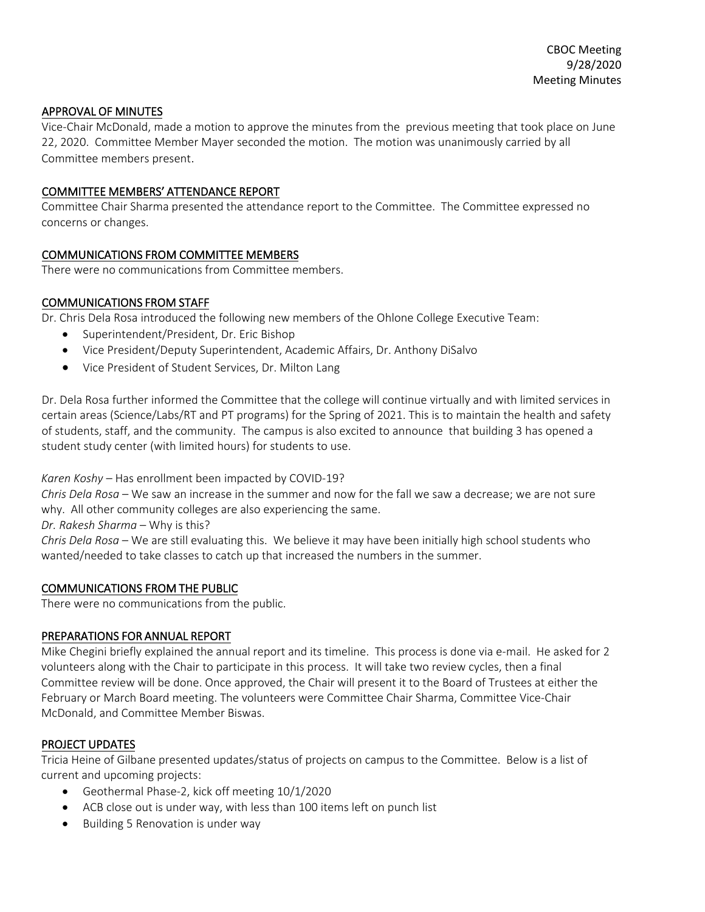### APPROVAL OF MINUTES

Vice-Chair McDonald, made a motion to approve the minutes from the previous meeting that took place on June 22, 2020. Committee Member Mayer seconded the motion. The motion was unanimously carried by all Committee members present.

### COMMITTEE MEMBERS' ATTENDANCE REPORT

Committee Chair Sharma presented the attendance report to the Committee. The Committee expressed no concerns or changes.

## COMMUNICATIONS FROM COMMITTEE MEMBERS

There were no communications from Committee members.

## COMMUNICATIONS FROM STAFF

Dr. Chris Dela Rosa introduced the following new members of the Ohlone College Executive Team:

- Superintendent/President, Dr. Eric Bishop
- Vice President/Deputy Superintendent, Academic Affairs, Dr. Anthony DiSalvo
- Vice President of Student Services, Dr. Milton Lang

Dr. Dela Rosa further informed the Committee that the college will continue virtually and with limited services in certain areas (Science/Labs/RT and PT programs) for the Spring of 2021. This is to maintain the health and safety of students, staff, and the community. The campus is also excited to announce that building 3 has opened a student study center (with limited hours) for students to use.

*Karen Koshy* – Has enrollment been impacted by COVID-19?

*Chris Dela Rosa* – We saw an increase in the summer and now for the fall we saw a decrease; we are not sure why. All other community colleges are also experiencing the same.

*Dr. Rakesh Sharma* – Why is this?

*Chris Dela Rosa* – We are still evaluating this. We believe it may have been initially high school students who wanted/needed to take classes to catch up that increased the numbers in the summer.

### COMMUNICATIONS FROM THE PUBLIC

There were no communications from the public.

### PREPARATIONS FOR ANNUAL REPORT

Mike Chegini briefly explained the annual report and its timeline. This process is done via e-mail. He asked for 2 volunteers along with the Chair to participate in this process. It will take two review cycles, then a final Committee review will be done. Once approved, the Chair will present it to the Board of Trustees at either the February or March Board meeting. The volunteers were Committee Chair Sharma, Committee Vice-Chair McDonald, and Committee Member Biswas.

### PROJECT UPDATES

Tricia Heine of Gilbane presented updates/status of projects on campus to the Committee. Below is a list of current and upcoming projects:

- Geothermal Phase-2, kick off meeting 10/1/2020
- ACB close out is under way, with less than 100 items left on punch list
- Building 5 Renovation is under way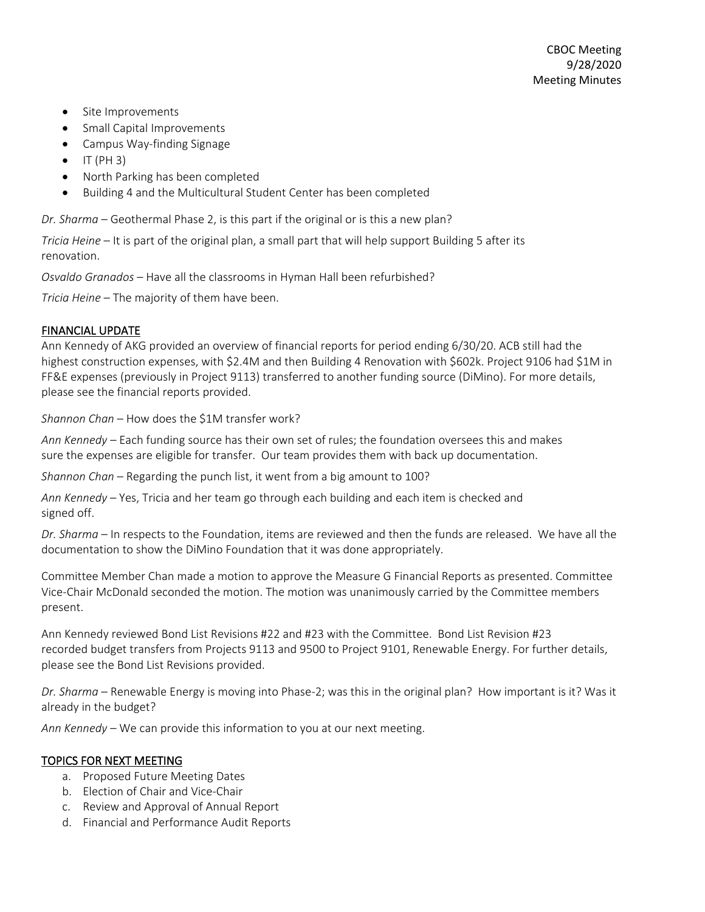- Site Improvements
- Small Capital Improvements
- Campus Way-finding Signage
- $\bullet$  IT (PH 3)
- North Parking has been completed
- Building 4 and the Multicultural Student Center has been completed

*Dr. Sharma* – Geothermal Phase 2, is this part if the original or is this a new plan?

*Tricia Heine* – It is part of the original plan, a small part that will help support Building 5 after its renovation.

*Osvaldo Granados* – Have all the classrooms in Hyman Hall been refurbished?

*Tricia Heine* – The majority of them have been.

## FINANCIAL UPDATE

Ann Kennedy of AKG provided an overview of financial reports for period ending 6/30/20. ACB still had the highest construction expenses, with \$2.4M and then Building 4 Renovation with \$602k. Project 9106 had \$1M in FF&E expenses (previously in Project 9113) transferred to another funding source (DiMino). For more details, please see the financial reports provided.

*Shannon Chan* – How does the \$1M transfer work?

*Ann Kennedy* – Each funding source has their own set of rules; the foundation oversees this and makes sure the expenses are eligible for transfer. Our team provides them with back up documentation.

*Shannon Chan* – Regarding the punch list, it went from a big amount to 100?

*Ann Kennedy* – Yes, Tricia and her team go through each building and each item is checked and signed off.

*Dr. Sharma* – In respects to the Foundation, items are reviewed and then the funds are released. We have all the documentation to show the DiMino Foundation that it was done appropriately.

Committee Member Chan made a motion to approve the Measure G Financial Reports as presented. Committee Vice-Chair McDonald seconded the motion. The motion was unanimously carried by the Committee members present.

Ann Kennedy reviewed Bond List Revisions #22 and #23 with the Committee. Bond List Revision #23 recorded budget transfers from Projects 9113 and 9500 to Project 9101, Renewable Energy. For further details, please see the Bond List Revisions provided.

*Dr. Sharma* – Renewable Energy is moving into Phase-2; was this in the original plan? How important is it? Was it already in the budget?

*Ann Kennedy* – We can provide this information to you at our next meeting.

## TOPICS FOR NEXT MEETING

- a. Proposed Future Meeting Dates
- b. Election of Chair and Vice-Chair
- c. Review and Approval of Annual Report
- d. Financial and Performance Audit Reports